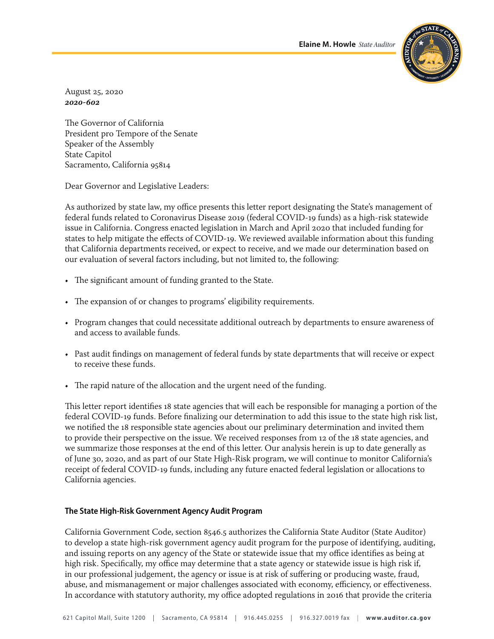**Elaine M. Howle** *State Auditor*



August 25, 2020 *2020‑602* 

The Governor of California President pro Tempore of the Senate Speaker of the Assembly State Capitol Sacramento, California 95814

Dear Governor and Legislative Leaders:

As authorized by state law, my office presents this letter report designating the State's management of federal funds related to Coronavirus Disease 2019 (federal COVID-19 funds) as a high-risk statewide issue in California. Congress enacted legislation in March and April 2020 that included funding for states to help mitigate the effects of COVID‑19. We reviewed available information about this funding that California departments received, or expect to receive, and we made our determination based on our evaluation of several factors including, but not limited to, the following:

- The significant amount of funding granted to the State.
- The expansion of or changes to programs' eligibility requirements.
- Program changes that could necessitate additional outreach by departments to ensure awareness of and access to available funds.
- Past audit findings on management of federal funds by state departments that will receive or expect to receive these funds.
- The rapid nature of the allocation and the urgent need of the funding.

This letter report identifies 18 state agencies that will each be responsible for managing a portion of the federal COVID‑19 funds. Before finalizing our determination to add this issue to the state high risk list, we notified the 18 responsible state agencies about our preliminary determination and invited them to provide their perspective on the issue. We received responses from 12 of the 18 state agencies, and we summarize those responses at the end of this letter. Our analysis herein is up to date generally as of June 30, 2020, and as part of our State High-Risk program, we will continue to monitor California's receipt of federal COVID‑19 funds, including any future enacted federal legislation or allocations to California agencies.

# **The State High‑Risk Government Agency Audit Program**

California Government Code, section 8546.5 authorizes the California State Auditor (State Auditor) to develop a state high-risk government agency audit program for the purpose of identifying, auditing, and issuing reports on any agency of the State or statewide issue that my office identifies as being at high risk. Specifically, my office may determine that a state agency or statewide issue is high risk if, in our professional judgement, the agency or issue is at risk of suffering or producing waste, fraud, abuse, and mismanagement or major challenges associated with economy, efficiency, or effectiveness. In accordance with statutory authority, my office adopted regulations in 2016 that provide the criteria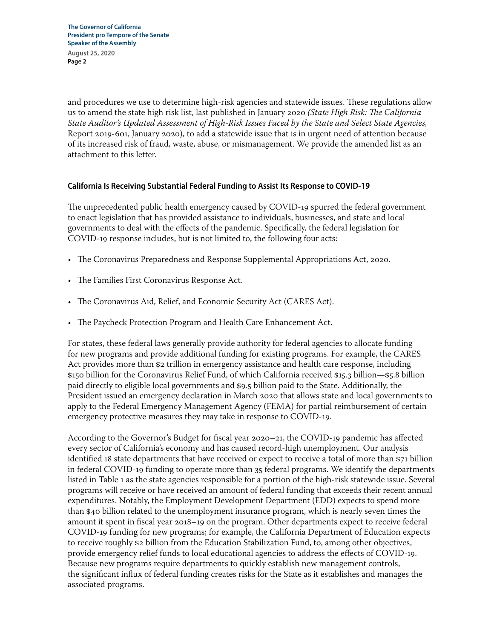and procedures we use to determine high-risk agencies and statewide issues. These regulations allow us to amend the state high risk list, last published in January 2020 *(State High Risk: The California State Auditor's Updated Assessment of High‑Risk Issues Faced by the State and Select State Agencies,* Report 2019‑601, January 2020), to add a statewide issue that is in urgent need of attention because of its increased risk of fraud, waste, abuse, or mismanagement. We provide the amended list as an attachment to this letter.

# **California Is Receiving Substantial Federal Funding to Assist Its Response to COVID‑19**

The unprecedented public health emergency caused by COVID-19 spurred the federal government to enact legislation that has provided assistance to individuals, businesses, and state and local governments to deal with the effects of the pandemic. Specifically, the federal legislation for COVID‑19 response includes, but is not limited to, the following four acts:

- The Coronavirus Preparedness and Response Supplemental Appropriations Act, 2020.
- The Families First Coronavirus Response Act.
- The Coronavirus Aid, Relief, and Economic Security Act (CARES Act).
- The Paycheck Protection Program and Health Care Enhancement Act.

For states, these federal laws generally provide authority for federal agencies to allocate funding for new programs and provide additional funding for existing programs. For example, the CARES Act provides more than \$2 trillion in emergency assistance and health care response, including \$150 billion for the Coronavirus Relief Fund, of which California received \$15.3 billion—\$5.8 billion paid directly to eligible local governments and \$9.5 billion paid to the State. Additionally, the President issued an emergency declaration in March 2020 that allows state and local governments to apply to the Federal Emergency Management Agency (FEMA) for partial reimbursement of certain emergency protective measures they may take in response to COVID-19.

According to the Governor's Budget for fiscal year 2020–21, the COVID-19 pandemic has affected every sector of California's economy and has caused record-high unemployment. Our analysis identified 18 state departments that have received or expect to receive a total of more than \$71 billion in federal COVID‑19 funding to operate more than 35 federal programs. We identify the departments listed in Table 1 as the state agencies responsible for a portion of the high-risk statewide issue. Several programs will receive or have received an amount of federal funding that exceeds their recent annual expenditures. Notably, the Employment Development Department (EDD) expects to spend more than \$40 billion related to the unemployment insurance program, which is nearly seven times the amount it spent in fiscal year 2018–19 on the program. Other departments expect to receive federal COVID‑19 funding for new programs; for example, the California Department of Education expects to receive roughly \$2 billion from the Education Stabilization Fund, to, among other objectives, provide emergency relief funds to local educational agencies to address the effects of COVID‑19. Because new programs require departments to quickly establish new management controls, the significant influx of federal funding creates risks for the State as it establishes and manages the associated programs.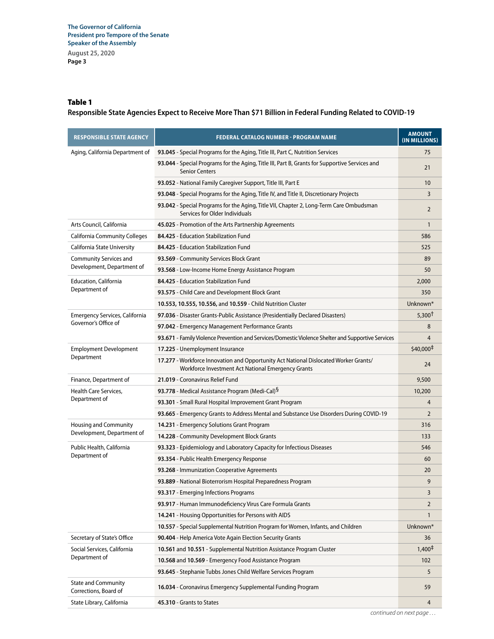# Table 1

**Responsible State Agencies Expect to Receive More Than \$71 Billion in Federal Funding Related to COVID‑19**

| <b>RESPONSIBLE STATE AGENCY</b>                     | <b>FEDERAL CATALOG NUMBER - PROGRAM NAME</b>                                                                                               | <b>AMOUNT</b><br>(IN MILLIONS) |
|-----------------------------------------------------|--------------------------------------------------------------------------------------------------------------------------------------------|--------------------------------|
| Aging, California Department of                     | 93.045 - Special Programs for the Aging, Title III, Part C, Nutrition Services                                                             | 75                             |
|                                                     | 93.044 - Special Programs for the Aging, Title III, Part B, Grants for Supportive Services and<br><b>Senior Centers</b>                    | 21                             |
|                                                     | 93.052 - National Family Caregiver Support, Title III, Part E                                                                              | 10                             |
|                                                     | 93.048 - Special Programs for the Aging, Title IV, and Title II, Discretionary Projects                                                    | 3                              |
|                                                     | 93.042 - Special Programs for the Aging, Title VII, Chapter 2, Long-Term Care Ombudsman<br>Services for Older Individuals                  | $\overline{2}$                 |
| Arts Council, California                            | 45.025 - Promotion of the Arts Partnership Agreements                                                                                      | $\mathbf{1}$                   |
| <b>California Community Colleges</b>                | 84.425 - Education Stabilization Fund                                                                                                      | 586                            |
| California State University                         | 84.425 - Education Stabilization Fund                                                                                                      | 525                            |
| Community Services and                              | 93.569 - Community Services Block Grant                                                                                                    | 89                             |
| Development, Department of                          | 93.568 - Low-Income Home Energy Assistance Program                                                                                         | 50                             |
| <b>Education, California</b>                        | 84.425 - Education Stabilization Fund                                                                                                      | 2,000                          |
| Department of                                       | 93.575 - Child Care and Development Block Grant                                                                                            | 350                            |
|                                                     | 10.553, 10.555, 10.556, and 10.559 - Child Nutrition Cluster                                                                               | Unknown*                       |
| Emergency Services, California                      | 97.036 - Disaster Grants-Public Assistance (Presidentially Declared Disasters)                                                             | 5,300 <sup>†</sup>             |
| Governor's Office of                                | 97.042 - Emergency Management Performance Grants                                                                                           | 8                              |
|                                                     | 93.671 - Family Violence Prevention and Services/Domestic Violence Shelter and Supportive Services                                         | 4                              |
| <b>Employment Development</b>                       | 17.225 - Unemployment Insurance                                                                                                            | \$40,000#                      |
| Department                                          | 17.277 - Workforce Innovation and Opportunity Act National Dislocated Worker Grants/<br>Workforce Investment Act National Emergency Grants | 24                             |
| Finance, Department of                              | 21.019 - Coronavirus Relief Fund                                                                                                           | 9,500                          |
| Health Care Services,                               | 93.778 - Medical Assistance Program (Medi-Cal) <sup>§</sup>                                                                                | 10,200                         |
| Department of                                       | 93.301 - Small Rural Hospital Improvement Grant Program                                                                                    | 4                              |
|                                                     | 93.665 - Emergency Grants to Address Mental and Substance Use Disorders During COVID-19                                                    | 2                              |
| <b>Housing and Community</b>                        | 14.231 - Emergency Solutions Grant Program                                                                                                 | 316                            |
| Development, Department of                          | 14.228 - Community Development Block Grants                                                                                                | 133                            |
| Public Health, California                           | 93.323 - Epidemiology and Laboratory Capacity for Infectious Diseases                                                                      | 546                            |
| Department of                                       | 93.354 - Public Health Emergency Response                                                                                                  | 60                             |
|                                                     | 93.268 - Immunization Cooperative Agreements                                                                                               | 20                             |
|                                                     | 93.889 - National Bioterrorism Hospital Preparedness Program                                                                               | 9                              |
|                                                     | 93.317 - Emerging Infections Programs                                                                                                      | 3                              |
|                                                     | 93.917 - Human Immunodeficiency Virus Care Formula Grants                                                                                  | $\overline{2}$                 |
|                                                     | 14.241 - Housing Opportunities for Persons with AIDS                                                                                       | 1                              |
|                                                     | 10.557 - Special Supplemental Nutrition Program for Women, Infants, and Children                                                           | Unknown*                       |
| Secretary of State's Office                         | 90.404 - Help America Vote Again Election Security Grants                                                                                  | 36                             |
| Social Services, California<br>Department of        | 10.561 and 10.551 - Supplemental Nutrition Assistance Program Cluster                                                                      | $1,400^{\ddagger}$             |
|                                                     | 10.568 and 10.569 - Emergency Food Assistance Program                                                                                      | 102                            |
|                                                     | 93.645 - Stephanie Tubbs Jones Child Welfare Services Program                                                                              | 5                              |
| <b>State and Community</b><br>Corrections, Board of | 16.034 - Coronavirus Emergency Supplemental Funding Program                                                                                | 59                             |
| State Library, California                           | 45.310 - Grants to States                                                                                                                  | 4                              |

*continued on next page . . .*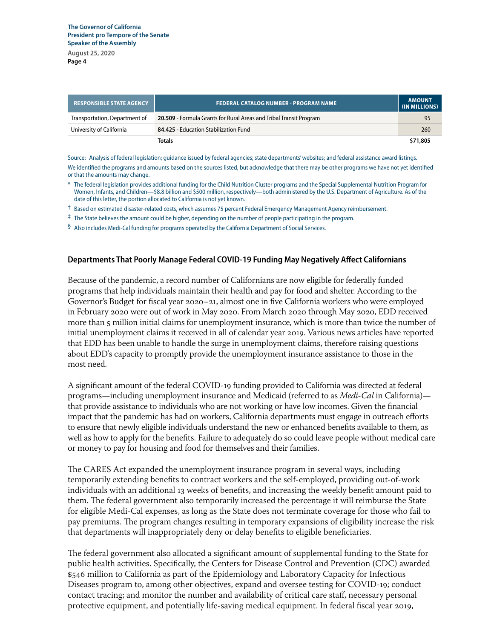**August 25, 2020 Page 4**

| <b>RESPONSIBLE STATE AGENCY</b> | <b>FEDERAL CATALOG NUMBER - PROGRAM NAME</b>                       | <b>AMOUNT</b><br>(IN MILLIONS) |
|---------------------------------|--------------------------------------------------------------------|--------------------------------|
| Transportation, Department of   | 20.509 - Formula Grants for Rural Areas and Tribal Transit Program | 95                             |
| University of California        | 84.425 - Education Stabilization Fund                              | 260                            |
|                                 | <b>Totals</b>                                                      | \$71.805                       |

Source: Analysis of federal legislation; guidance issued by federal agencies; state departments' websites; and federal assistance award listings. We identified the programs and amounts based on the sources listed, but acknowledge that there may be other programs we have not yet identified or that the amounts may change.

- \* The federal legislation provides additional funding for the Child Nutrition Cluster programs and the Special Supplemental Nutrition Program for Women, Infants, and Children—\$8.8 billion and \$500 million, respectively—both administered by the U.S. Department of Agriculture. As of the date of this letter, the portion allocated to California is not yet known.
- † Based on estimated disaster‑related costs, which assumes 75 percent Federal Emergency Management Agency reimbursement.
- ‡ The State believes the amount could be higher, depending on the number of people participating in the program.
- § Also includes Medi-Cal funding for programs operated by the California Department of Social Services.

#### **Departments That Poorly Manage Federal COVID‑19 Funding May Negatively Affect Californians**

Because of the pandemic, a record number of Californians are now eligible for federally funded programs that help individuals maintain their health and pay for food and shelter. According to the Governor's Budget for fiscal year 2020–21, almost one in five California workers who were employed in February 2020 were out of work in May 2020. From March 2020 through May 2020, EDD received more than 5 million initial claims for unemployment insurance, which is more than twice the number of initial unemployment claims it received in all of calendar year 2019. Various news articles have reported that EDD has been unable to handle the surge in unemployment claims, therefore raising questions about EDD's capacity to promptly provide the unemployment insurance assistance to those in the most need.

A significant amount of the federal COVID‑19 funding provided to California was directed at federal programs—including unemployment insurance and Medicaid (referred to as *Medi‑Cal* in California) that provide assistance to individuals who are not working or have low incomes. Given the financial impact that the pandemic has had on workers, California departments must engage in outreach efforts to ensure that newly eligible individuals understand the new or enhanced benefits available to them, as well as how to apply for the benefits. Failure to adequately do so could leave people without medical care or money to pay for housing and food for themselves and their families.

The CARES Act expanded the unemployment insurance program in several ways, including temporarily extending benefits to contract workers and the self-employed, providing out-of-work individuals with an additional 13 weeks of benefits, and increasing the weekly benefit amount paid to them. The federal government also temporarily increased the percentage it will reimburse the State for eligible Medi-Cal expenses, as long as the State does not terminate coverage for those who fail to pay premiums. The program changes resulting in temporary expansions of eligibility increase the risk that departments will inappropriately deny or delay benefits to eligible beneficiaries.

The federal government also allocated a significant amount of supplemental funding to the State for public health activities. Specifically, the Centers for Disease Control and Prevention (CDC) awarded \$546 million to California as part of the Epidemiology and Laboratory Capacity for Infectious Diseases program to, among other objectives, expand and oversee testing for COVID-19; conduct contact tracing; and monitor the number and availability of critical care staff, necessary personal protective equipment, and potentially life-saving medical equipment. In federal fiscal year 2019,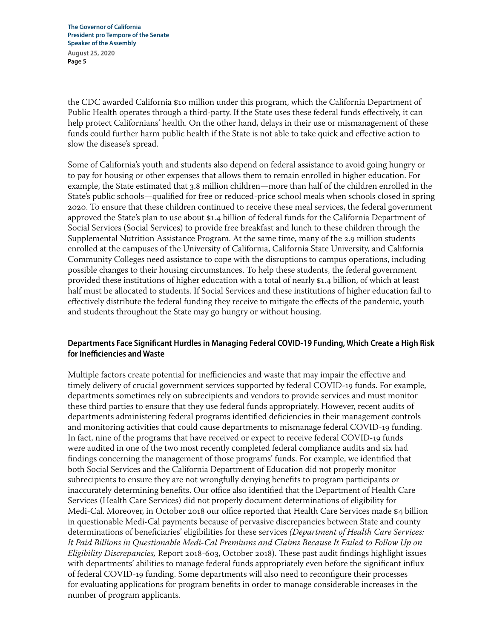the CDC awarded California \$10 million under this program, which the California Department of Public Health operates through a third-party. If the State uses these federal funds effectively, it can help protect Californians' health. On the other hand, delays in their use or mismanagement of these funds could further harm public health if the State is not able to take quick and effective action to slow the disease's spread.

Some of California's youth and students also depend on federal assistance to avoid going hungry or to pay for housing or other expenses that allows them to remain enrolled in higher education. For example, the State estimated that 3.8 million children—more than half of the children enrolled in the State's public schools—qualified for free or reduced‑price school meals when schools closed in spring 2020. To ensure that these children continued to receive these meal services, the federal government approved the State's plan to use about \$1.4 billion of federal funds for the California Department of Social Services (Social Services) to provide free breakfast and lunch to these children through the Supplemental Nutrition Assistance Program. At the same time, many of the 2.9 million students enrolled at the campuses of the University of California, California State University, and California Community Colleges need assistance to cope with the disruptions to campus operations, including possible changes to their housing circumstances. To help these students, the federal government provided these institutions of higher education with a total of nearly \$1.4 billion, of which at least half must be allocated to students. If Social Services and these institutions of higher education fail to effectively distribute the federal funding they receive to mitigate the effects of the pandemic, youth and students throughout the State may go hungry or without housing.

# **Departments Face Significant Hurdles in Managing Federal COVID‑19 Funding, Which Create a High Risk for Inefficiencies and Waste**

Multiple factors create potential for inefficiencies and waste that may impair the effective and timely delivery of crucial government services supported by federal COVID-19 funds. For example, departments sometimes rely on subrecipients and vendors to provide services and must monitor these third parties to ensure that they use federal funds appropriately. However, recent audits of departments administering federal programs identified deficiencies in their management controls and monitoring activities that could cause departments to mismanage federal COVID-19 funding. In fact, nine of the programs that have received or expect to receive federal COVID‑19 funds were audited in one of the two most recently completed federal compliance audits and six had findings concerning the management of those programs' funds. For example, we identified that both Social Services and the California Department of Education did not properly monitor subrecipients to ensure they are not wrongfully denying benefits to program participants or inaccurately determining benefits. Our office also identified that the Department of Health Care Services (Health Care Services) did not properly document determinations of eligibility for Medi‑Cal. Moreover, in October 2018 our office reported that Health Care Services made \$4 billion in questionable Medi-Cal payments because of pervasive discrepancies between State and county determinations of beneficiaries' eligibilities for these services *(Department of Health Care Services: It Paid Billions in Questionable Medi‑Cal Premiums and Claims Because It Failed to Follow Up on Eligibility Discrepancies,* Report 2018‑603, October 2018). These past audit findings highlight issues with departments' abilities to manage federal funds appropriately even before the significant influx of federal COVID‑19 funding. Some departments will also need to reconfigure their processes for evaluating applications for program benefits in order to manage considerable increases in the number of program applicants.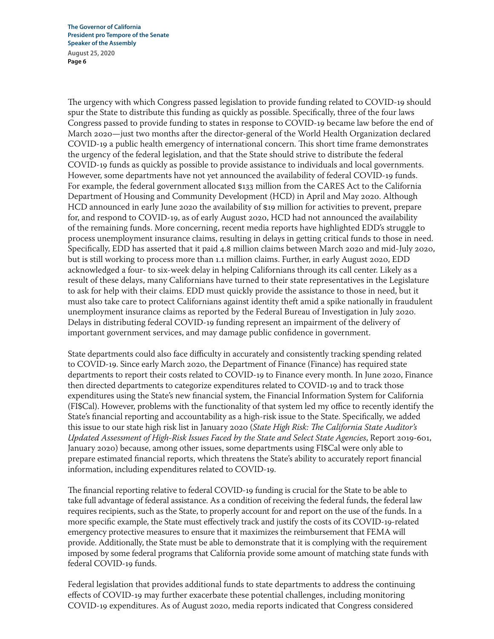The urgency with which Congress passed legislation to provide funding related to COVID-19 should spur the State to distribute this funding as quickly as possible. Specifically, three of the four laws Congress passed to provide funding to states in response to COVID‑19 became law before the end of March 2020—just two months after the director-general of the World Health Organization declared COVID‑19 a public health emergency of international concern. This short time frame demonstrates the urgency of the federal legislation, and that the State should strive to distribute the federal COVID‑19 funds as quickly as possible to provide assistance to individuals and local governments. However, some departments have not yet announced the availability of federal COVID-19 funds. For example, the federal government allocated \$133 million from the CARES Act to the California Department of Housing and Community Development (HCD) in April and May 2020. Although HCD announced in early June 2020 the availability of \$19 million for activities to prevent, prepare for, and respond to COVID‑19, as of early August 2020, HCD had not announced the availability of the remaining funds. More concerning, recent media reports have highlighted EDD's struggle to process unemployment insurance claims, resulting in delays in getting critical funds to those in need. Specifically, EDD has asserted that it paid 4.8 million claims between March 2020 and mid‑July 2020, but is still working to process more than 1.1 million claims. Further, in early August 2020, EDD acknowledged a four‑ to six‑week delay in helping Californians through its call center. Likely as a result of these delays, many Californians have turned to their state representatives in the Legislature to ask for help with their claims. EDD must quickly provide the assistance to those in need, but it must also take care to protect Californians against identity theft amid a spike nationally in fraudulent unemployment insurance claims as reported by the Federal Bureau of Investigation in July 2020. Delays in distributing federal COVID‑19 funding represent an impairment of the delivery of important government services, and may damage public confidence in government.

State departments could also face difficulty in accurately and consistently tracking spending related to COVID‑19. Since early March 2020, the Department of Finance (Finance) has required state departments to report their costs related to COVID-19 to Finance every month. In June 2020, Finance then directed departments to categorize expenditures related to COVID‑19 and to track those expenditures using the State's new financial system, the Financial Information System for California (FI\$Cal). However, problems with the functionality of that system led my office to recently identify the State's financial reporting and accountability as a high-risk issue to the State. Specifically, we added this issue to our state high risk list in January 2020 (*State High Risk: The California State Auditor's Updated Assessment of High‑Risk Issues Faced by the State and Select State Agencies*, Report 2019‑601, January 2020) because, among other issues, some departments using FI\$Cal were only able to prepare estimated financial reports, which threatens the State's ability to accurately report financial information, including expenditures related to COVID‑19.

The financial reporting relative to federal COVID‑19 funding is crucial for the State to be able to take full advantage of federal assistance. As a condition of receiving the federal funds, the federal law requires recipients, such as the State, to properly account for and report on the use of the funds. In a more specific example, the State must effectively track and justify the costs of its COVID-19-related emergency protective measures to ensure that it maximizes the reimbursement that FEMA will provide. Additionally, the State must be able to demonstrate that it is complying with the requirement imposed by some federal programs that California provide some amount of matching state funds with federal COVID‑19 funds.

Federal legislation that provides additional funds to state departments to address the continuing effects of COVID‑19 may further exacerbate these potential challenges, including monitoring COVID‑19 expenditures. As of August 2020, media reports indicated that Congress considered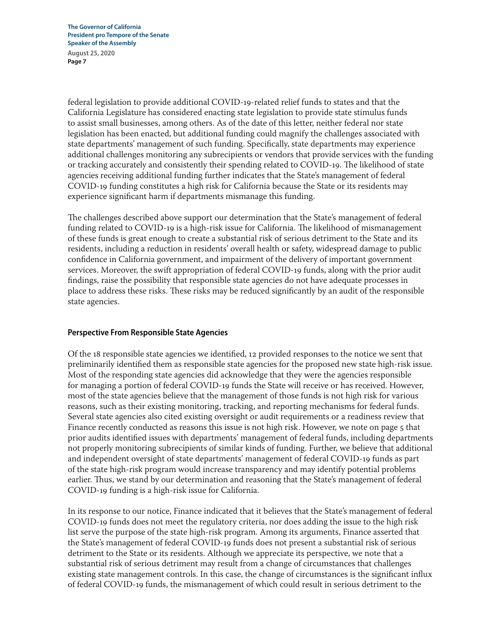federal legislation to provide additional COVID‑19‑related relief funds to states and that the California Legislature has considered enacting state legislation to provide state stimulus funds to assist small businesses, among others. As of the date of this letter, neither federal nor state legislation has been enacted, but additional funding could magnify the challenges associated with state departments' management of such funding. Specifically, state departments may experience additional challenges monitoring any subrecipients or vendors that provide services with the funding or tracking accurately and consistently their spending related to COVID‑19. The likelihood of state agencies receiving additional funding further indicates that the State's management of federal COVID‑19 funding constitutes a high risk for California because the State or its residents may experience significant harm if departments mismanage this funding.

The challenges described above support our determination that the State's management of federal funding related to COVID-19 is a high-risk issue for California. The likelihood of mismanagement of these funds is great enough to create a substantial risk of serious detriment to the State and its residents, including a reduction in residents' overall health or safety, widespread damage to public confidence in California government, and impairment of the delivery of important government services. Moreover, the swift appropriation of federal COVID-19 funds, along with the prior audit findings, raise the possibility that responsible state agencies do not have adequate processes in place to address these risks. These risks may be reduced significantly by an audit of the responsible state agencies.

# **Perspective From Responsible State Agencies**

Of the 18 responsible state agencies we identified, 12 provided responses to the notice we sent that preliminarily identified them as responsible state agencies for the proposed new state high-risk issue. Most of the responding state agencies did acknowledge that they were the agencies responsible for managing a portion of federal COVID-19 funds the State will receive or has received. However, most of the state agencies believe that the management of those funds is not high risk for various reasons, such as their existing monitoring, tracking, and reporting mechanisms for federal funds. Several state agencies also cited existing oversight or audit requirements or a readiness review that Finance recently conducted as reasons this issue is not high risk. However, we note on page 5 that prior audits identified issues with departments' management of federal funds, including departments not properly monitoring subrecipients of similar kinds of funding. Further, we believe that additional and independent oversight of state departments' management of federal COVID‑19 funds as part of the state high-risk program would increase transparency and may identify potential problems earlier. Thus, we stand by our determination and reasoning that the State's management of federal COVID‑19 funding is a high‑risk issue for California.

In its response to our notice, Finance indicated that it believes that the State's management of federal COVID‑19 funds does not meet the regulatory criteria, nor does adding the issue to the high risk list serve the purpose of the state high-risk program. Among its arguments, Finance asserted that the State's management of federal COVID‑19 funds does not present a substantial risk of serious detriment to the State or its residents. Although we appreciate its perspective, we note that a substantial risk of serious detriment may result from a change of circumstances that challenges existing state management controls. In this case, the change of circumstances is the significant influx of federal COVID‑19 funds, the mismanagement of which could result in serious detriment to the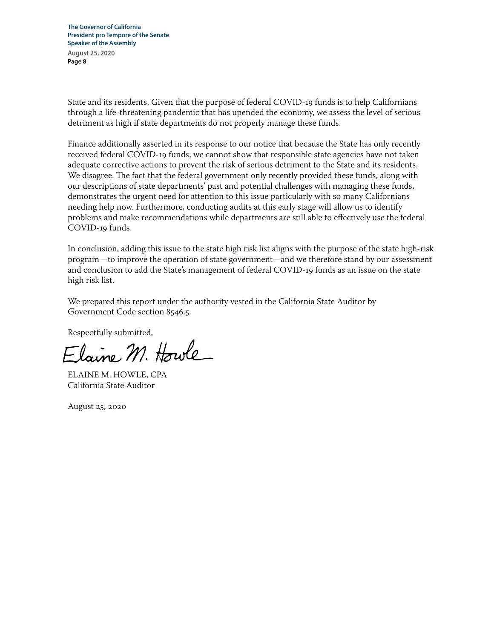State and its residents. Given that the purpose of federal COVID‑19 funds is to help Californians through a life‑threatening pandemic that has upended the economy, we assess the level of serious detriment as high if state departments do not properly manage these funds.

Finance additionally asserted in its response to our notice that because the State has only recently received federal COVID‑19 funds, we cannot show that responsible state agencies have not taken adequate corrective actions to prevent the risk of serious detriment to the State and its residents. We disagree. The fact that the federal government only recently provided these funds, along with our descriptions of state departments' past and potential challenges with managing these funds, demonstrates the urgent need for attention to this issue particularly with so many Californians needing help now. Furthermore, conducting audits at this early stage will allow us to identify problems and make recommendations while departments are still able to effectively use the federal COVID‑19 funds.

In conclusion, adding this issue to the state high risk list aligns with the purpose of the state high-risk program—to improve the operation of state government—and we therefore stand by our assessment and conclusion to add the State's management of federal COVID‑19 funds as an issue on the state high risk list.

We prepared this report under the authority vested in the California State Auditor by Government Code section 8546.5.

Respectfully submitted,<br>Elaune M. Howle

ELAINE M. HOWLE, CPA California State Auditor

August 25, 2020